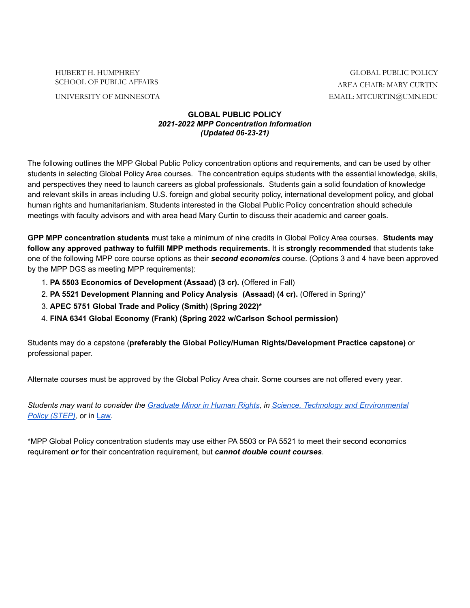HUBERT H. HUMPHREY GLOBAL PUBLIC POLICY

## SCHOOL OF PUBLIC AFFAIRS AREA CHAIR: MARY CURTIN UNIVERSITY OF MINNESOTA EMAIL: MTCURTIN@UMN.EDU

## **GLOBAL PUBLIC POLICY** *2021-2022 MPP Concentration Information (Updated 06-23-21)*

The following outlines the MPP Global Public Policy concentration options and requirements, and can be used by other students in selecting Global Policy Area courses. The concentration equips students with the essential knowledge, skills, and perspectives they need to launch careers as global professionals. Students gain a solid foundation of knowledge and relevant skills in areas including U.S. foreign and global security policy, international development policy, and global human rights and humanitarianism. Students interested in the Global Public Policy concentration should schedule meetings with faculty advisors and with area head Mary Curtin to discuss their academic and career goals.

**GPP MPP concentration students** must take a minimum of nine credits in Global Policy Area courses. **Students may follow any approved pathway to fulfill MPP methods requirements.** It is **strongly recommended** that students take one of the following MPP core course options as their *second economics* course. (Options 3 and 4 have been approved by the MPP DGS as meeting MPP requirements):

- 1. **PA 5503 Economics of Development (Assaad) (3 cr).** (Offered in Fall)
- 2. **PA 5521 Development Planning and Policy Analysis (Assaad) (4 cr).** (Offered in Spring)\*
- 3. **APEC 5751 Global Trade and Policy (Smith) (Spring 2022)\***
- 4. **FINA 6341 Global Economy (Frank) (Spring 2022 w/Carlson School permission)**

Students may do a capstone (**preferably the Global Policy/Human Rights/Development Practice capstone)** or professional paper.

Alternate courses must be approved by the Global Policy Area chair. Some courses are not offered every year.

*Students may want to consider the [Graduate](https://cla.umn.edu/human-rights/grad-minor-human-rights-program) Minor in Human Rights, in Science, Technology and [Environmental](https://www.hhh.umn.edu/masters-programs/graduate-minors-and-dual-degrees) Policy [\(STEP\)](https://www.hhh.umn.edu/masters-programs/graduate-minors-and-dual-degrees),* or in [Law](https://www.law.umn.edu/academics/non-degree-programs/graduate-and-undergraduate-courses)*.*

\*MPP Global Policy concentration students may use either PA 5503 or PA 5521 to meet their second economics requirement *or* for their concentration requirement, but *cannot double count courses*.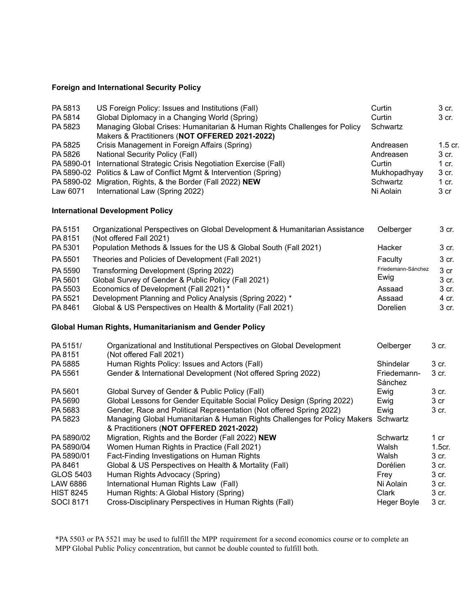## **Foreign and International Security Policy**

| PA 5813<br>PA 5814<br>PA 5823                          | US Foreign Policy: Issues and Institutions (Fall)<br>Global Diplomacy in a Changing World (Spring)<br>Managing Global Crises: Humanitarian & Human Rights Challenges for Policy<br>Makers & Practitioners (NOT OFFERED 2021-2022) | Curtin<br>Curtin<br>Schwartz | 3 cr.<br>3 cr.     |
|--------------------------------------------------------|-----------------------------------------------------------------------------------------------------------------------------------------------------------------------------------------------------------------------------------|------------------------------|--------------------|
| PA 5825<br>PA 5826                                     | Crisis Management in Foreign Affairs (Spring)<br><b>National Security Policy (Fall)</b>                                                                                                                                           | Andreasen<br>Andreasen       | 1.5 cr.<br>3 cr.   |
| PA 5890-01                                             | International Strategic Crisis Negotiation Exercise (Fall)                                                                                                                                                                        | Curtin                       | $1$ cr.            |
| PA 5890-02                                             | Politics & Law of Conflict Mgmt & Intervention (Spring)                                                                                                                                                                           | Mukhopadhyay                 | 3 cr.              |
| PA 5890-02                                             | Migration, Rights, & the Border (Fall 2022) NEW                                                                                                                                                                                   | Schwartz                     | $1$ cr.            |
| Law 6071                                               | International Law (Spring 2022)                                                                                                                                                                                                   | Ni Aolain                    | 3 cr               |
| <b>International Development Policy</b>                |                                                                                                                                                                                                                                   |                              |                    |
| PA 5151<br>PA 8151                                     | Organizational Perspectives on Global Development & Humanitarian Assistance<br>(Not offered Fall 2021)                                                                                                                            | Oelberger                    | 3 cr.              |
| PA 5301                                                | Population Methods & Issues for the US & Global South (Fall 2021)                                                                                                                                                                 | Hacker                       | 3 cr.              |
| PA 5501                                                | Theories and Policies of Development (Fall 2021)                                                                                                                                                                                  | Faculty                      | 3 cr.              |
| PA 5590                                                | Transforming Development (Spring 2022)                                                                                                                                                                                            | Friedemann-Sánchez           | 3 cr               |
| PA 5601                                                | Global Survey of Gender & Public Policy (Fall 2021)                                                                                                                                                                               | Ewig                         | 3 cr.              |
| PA 5503                                                | Economics of Development (Fall 2021) *                                                                                                                                                                                            | Assaad                       | 3 cr.              |
| PA 5521                                                | Development Planning and Policy Analysis (Spring 2022) *                                                                                                                                                                          | Assaad                       | 4 cr.              |
| PA 8461                                                | Global & US Perspectives on Health & Mortality (Fall 2021)                                                                                                                                                                        | Dorelien                     | 3 cr.              |
| Global Human Rights, Humanitarianism and Gender Policy |                                                                                                                                                                                                                                   |                              |                    |
| PA 5151/<br>PA 8151                                    | Organizational and Institutional Perspectives on Global Development<br>(Not offered Fall 2021)                                                                                                                                    | Oelberger                    | 3 cr.              |
| PA 5885                                                | Human Rights Policy: Issues and Actors (Fall)                                                                                                                                                                                     | Shindelar                    | 3 cr.              |
| PA 5561                                                | Gender & International Development (Not offered Spring 2022)                                                                                                                                                                      | Friedemann-<br>Sánchez       | 3 cr.              |
| PA 5601                                                | Global Survey of Gender & Public Policy (Fall)                                                                                                                                                                                    | Ewig                         | 3 cr.              |
| PA 5690                                                | Global Lessons for Gender Equitable Social Policy Design (Spring 2022)                                                                                                                                                            | Ewig                         | 3 cr               |
| PA 5683                                                | Gender, Race and Political Representation (Not offered Spring 2022)                                                                                                                                                               | Ewig                         | 3 cr.              |
| PA 5823                                                | Managing Global Humanitarian & Human Rights Challenges for Policy Makers Schwartz<br>& Practitioners (NOT OFFERED 2021-2022)                                                                                                      |                              |                    |
| PA 5890/02                                             | Migration, Rights and the Border (Fall 2022) NEW                                                                                                                                                                                  | Schwartz                     | 1 cr               |
| PA 5890/04                                             | Women Human Rights in Practice (Fall 2021)                                                                                                                                                                                        | Walsh                        | 1.5 <sub>cr.</sub> |
| PA 5890/01                                             | Fact-Finding Investigations on Human Rights                                                                                                                                                                                       | Walsh                        | 3 cr.              |
| PA 8461                                                | Global & US Perspectives on Health & Mortality (Fall)                                                                                                                                                                             | Dorélien                     | 3 cr.              |
| <b>GLOS 5403</b>                                       | Human Rights Advocacy (Spring)                                                                                                                                                                                                    | Frey                         | 3 cr.              |
| LAW 6886                                               | International Human Rights Law (Fall)                                                                                                                                                                                             | Ni Aolain                    | 3 cr.              |
| <b>HIST 8245</b>                                       | Human Rights: A Global History (Spring)                                                                                                                                                                                           | Clark                        | 3 cr.              |
| <b>SOCI 8171</b>                                       | Cross-Disciplinary Perspectives in Human Rights (Fall)                                                                                                                                                                            | <b>Heger Boyle</b>           | 3 cr.              |

\*PA 5503 or PA 5521 may be used to fulfill the MPP requirement for a second economics course or to complete an MPP Global Public Policy concentration, but cannot be double counted to fulfill both.